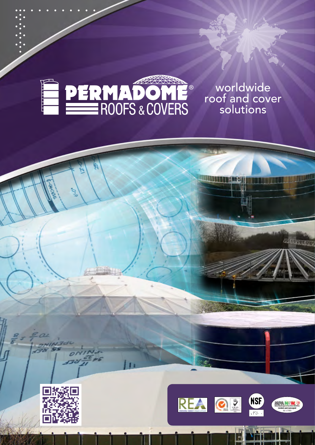

... . . . . . . . . .

 .  $\dddot{\cdot}$  . . .<br>.<br>.  $\ddot{\cdot}$  . . .<br>.<br>.  $\ddot{\cdot}$  . . .<br>.<br>.  $\ddot{\cdot}$  . . .

> worldwide roof and cover solutions

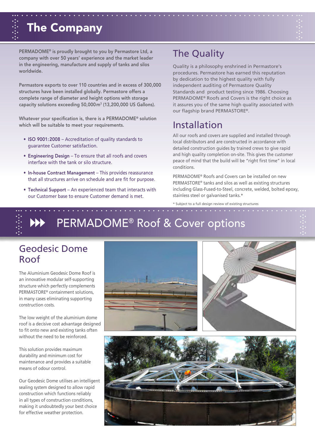

PERMADOME® is proudly brought to you by Permastore Ltd, a company with over 50 years' experience and the market leader in the engineering, manufacture and supply of tanks and silos worldwide.

Permastore exports to over 110 countries and in excess of 300,000 structures have been installed globally. Permastore offers a complete range of diameter and height options with storage capacity solutions exceeding 50,000m3 (13,200,000 US Gallons).

Whatever your specification is, there is a PERMADOME® solution which will be suitable to meet your requirements.

- ISO 9001:2008 Accreditation of quality standards to guarantee Customer satisfaction.
- Engineering Design To ensure that all roofs and covers interface with the tank or silo structure.
- In-house Contract Management This provides reassurance that all structures arrive on schedule and are fit for purpose.
- Technical Support An experienced team that interacts with our Customer base to ensure Customer demand is met.

#### The Quality

Quality is a philosophy enshrined in Permastore's procedures. Permastore has earned this reputation by dedication to the highest quality with fully independent auditing of Permastore Quality Standards and product testing since 1986. Choosing PERMADOME® Roofs and Covers is the right choice as it assures you of the same high quality associated with our flagship brand PERMASTORE®.

#### Installation

All our roofs and covers are supplied and installed through local distributors and are constructed in accordance with detailed construction guides by trained crews to give rapid and high quality completion on-site. This gives the customer peace of mind that the build will be "right first time" in local conditions.

PERMADOME® Roofs and Covers can be installed on new PERMASTORE® tanks and silos as well as existing structures including Glass-Fused-to-Steel, concrete, welded, bolted epoxy, stainless steel or galvanised tanks.\*

\* Subject to a full design review of existing structures



# ...<br>... NN PERMADOME® Roof & Cover options PERMADOME® Roof & Cover options

#### Geodesic Dome Roof

The Aluminium Geodesic Dome Roof is an innovative modular self-supporting structure which perfectly complements PERMASTORE® containment solutions, in many cases eliminating supporting construction costs.

The low weight of the aluminium dome roof is a decisive cost advantage designed to fit onto new and existing tanks often without the need to be reinforced.

This solution provides maximum durability and minimum cost for maintenance and provides a suitable means of odour control.

Our Geodesic Dome utilises an intelligent sealing system designed to allow rapid construction which functions reliably in all types of construction conditions, making it undoubtedly your best choice for effective weather protection.

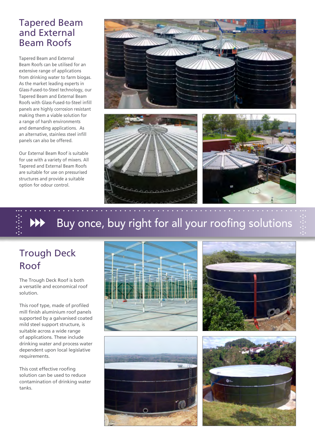#### Tapered Beam and External Beam Roofs

Tapered Beam and External Beam Roofs can be utilised for an extensive range of applications from drinking water to farm biogas. As the market leading experts in Glass-Fused-to-Steel technology, our Tapered Beam and External Beam Roofs with Glass-Fused-to-Steel infill panels are highly corrosion resistant making them a viable solution for a range of harsh environments and demanding applications. As an alternative, stainless steel infill panels can also be offered.

Our External Beam Roof is suitable for use with a variety of mixers. All Tapered and External Beam Roofs are suitable for use on pressurised structures and provide a suitable option for odour control.



# . . . . . . . . . . . . . . . . . . . . . . . . . . . . . . . . Buy once, buy right for all your roofing solutions

... . . . . . . . . . . . . . . . . . . . . . . . . . . . . . . . . . . . . . . . . . . . . . . . . . . . . . . . . . . ...

## Trough Deck Roof

The Trough Deck Roof is both a versatile and economical roof solution.

This roof type, made of profiled mill finish aluminium roof panels supported by a galvanised coated mild steel support structure, is suitable across a wide range of applications. These include drinking water and process water dependent upon local legislative requirements.

This cost effective roofing solution can be used to reduce contamination of drinking water tanks.







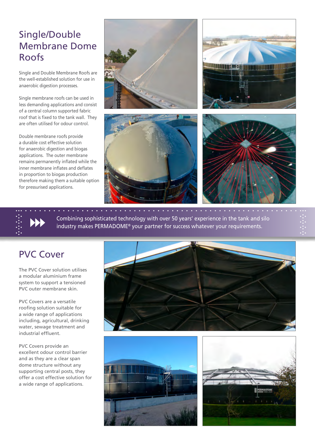### Single/Double Membrane Dome Roofs

Single and Double Membrane Roofs are the well-established solution for use in anaerobic digestion processes.

Single membrane roofs can be used in less demanding applications and consist of a central column supported fabric roof that is fixed to the tank wall. They are often utilised for odour control.

Double membrane roofs provide a durable cost effective solution for anaerobic digestion and biogas applications. The outer membrane remains permanently inflated while the inner membrane inflates and deflates in proportion to biogas production therefore making them a suitable option for pressurised applications.



... . . . . . . . . . . . . . . . . . . . . . . . . . . . . . . . . . . . . . . . . . . . . . . . . . . . . . . . . . . ... Combining sophisticated technology with over 50 years' experience in the tank and silo<br>
industry makes PERMADOME® your partner for success whatever your requirements.<br>
. . . Combining sophisticated technology with over 50 years' experience in the tank and silo industry makes PERMADOME® your partner for success whatever your requirements.

#### PVC Cover

The PVC Cover solution utilises a modular aluminium frame system to support a tensioned PVC outer membrane skin.

PVC Covers are a versatile roofing solution suitable for a wide range of applications including, agricultural, drinking water, sewage treatment and industrial effluent.

PVC Covers provide an excellent odour control barrier and as they are a clear span dome structure without any supporting central posts, they offer a cost effective solution for a wide range of applications.





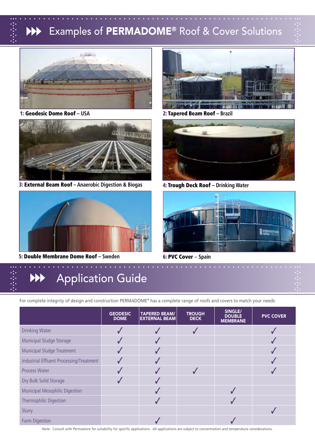# . . . . . . . . . . . . . . . . . . . . . . . . . . . . . . . . Examples of PERMADOME® Roof & Cover Solutions

... . . . . . . . . . . . . . . . . . . . . . . . . . . . . . . . . . . . . . . . . . . . . . . . . . . . . . . . . . . ...





3: External Beam Roof **– Anaerobic Digestion & Biogas**



5: Double Membrane Dome Roof **– Sweden**

1: Geodesic Dome Roof **– USA** 2: Tapered Beam Roof **– Brazil**



4: Trough Deck Roof **– Drinking Water**



6: PVC Cover – **Spain**

# . . . . . . . . . . . . . . . . . . . . . . . . . . . . . . . . Application Guide

For complete integrity of design and construction PERMADOME® has a complete range of roofs and covers to match your needs:

... . . . . . . . . . . . . . . . . . . . . . . . . . . . . . . . . . . . . . . . . . . . . . . . . . . . . . . . . . . ...

|                                          | <b>GEODESIC</b><br><b>DOME</b> | <b>TAPERED BEAM/</b><br><b>EXTERNAL BEAM</b> | <b>TROUGH</b><br><b>DECK</b> | SINGLE/<br><b>DOUBLE</b><br><b>MEMBRANE</b> | <b>PVC COVER</b> |
|------------------------------------------|--------------------------------|----------------------------------------------|------------------------------|---------------------------------------------|------------------|
| <b>Drinking Water</b>                    |                                |                                              |                              |                                             |                  |
| Municipal Sludge Storage                 |                                |                                              |                              |                                             |                  |
| Municipal Sludge Treatment               |                                |                                              |                              |                                             |                  |
| Industrial Effluent Processing/Treatment |                                |                                              |                              |                                             |                  |
| Process Water                            |                                |                                              |                              |                                             |                  |
| Dry Bulk Solid Storage                   |                                |                                              |                              |                                             |                  |
| Municipal Mesophilic Digestion           |                                |                                              |                              |                                             |                  |
| Thermophilic Digestion                   |                                |                                              |                              |                                             |                  |
| Slurry                                   |                                |                                              |                              |                                             |                  |
| Farm Digestion                           |                                |                                              |                              |                                             |                  |

Note: Consult with Permastore for suitability for specific applications. All applications are subject to concentration and temperature considerations.